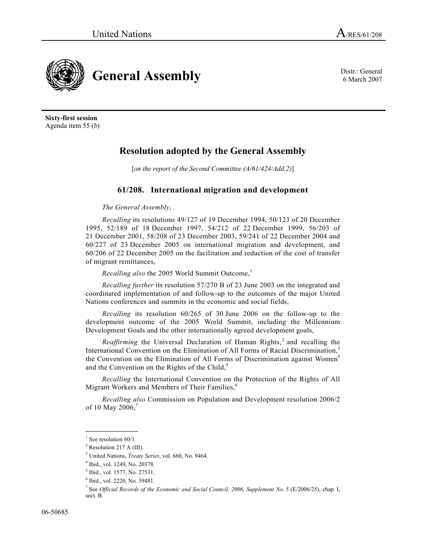6 March 2007



**Sixty-first session**  Agenda item 55 (*b*)

## **Resolution adopted by the General Assembly**

[*on the report of the Second Committee (A/61/424/Add.2)*]

## **61/208. International migration and development**

*The General Assembly*,

*Recalling* its resolutions 49/127 of 19 December 1994, 50/123 of 20 December 1995, 52/189 of 18 December 1997, 54/212 of 22 December 1999, 56/203 of 21 December 2001, 58/208 of 23 December 2003, 59/241 of 22 December 2004 and 60/227 of 23 December 2005 on international migration and development, and 60/206 of 22 December 2005 on the facilitation and reduction of the cost of transfer of migrant remittances,

*Recalling also* the 2005 World Summit Outcome,<sup>1</sup>

*Recalling further* its resolution 57/270 B of 23 June 2003 on the integrated and coordinated implementation of and follow-up to the outcomes of the major United Nations conferences and summits in the economic and social fields,

*Recalling* its resolution 60/265 of 30 June 2006 on the follow-up to the development outcome of the 2005 World Summit, including the Millennium Development Goals and the other internationally agreed development goals,

Reaffirming the Universal Declaration of Human Rights,<sup>2</sup> and recalling the International Convention on the Elimination of All Forms of Racial Discrimination,<sup>3</sup> the Convention on the Elimination of All Forms of Discrimination against Women<sup>4</sup> and the Convention on the Rights of the Child, $5$ 

*Recalling* the International Convention on the Protection of the Rights of All Migrant Workers and Members of Their Families,<sup>6</sup>

*Recalling also* Commission on Population and Development resolution 2006/2 of 10 May 2006,

**\_\_\_\_\_\_\_\_\_\_\_\_\_\_\_**   $1$  See resolution 60/1.

 $<sup>2</sup>$  Resolution 217 A (III).</sup>

<sup>&</sup>lt;sup>3</sup> United Nations, *Treaty Series*, vol. 660, No. 9464.

<sup>&</sup>lt;sup>4</sup> Ibid., vol. 1249, No. 20378.

<sup>&</sup>lt;sup>5</sup> Ibid., vol. 1577, No. 27531.

<sup>6</sup> Ibid., vol. 2220, No. 39481.

<sup>&</sup>lt;sup>7</sup> See *Official Records of the Economic and Social Council, 2006, Supplement No. 5* (E/2006/25), chap. I, sect. B.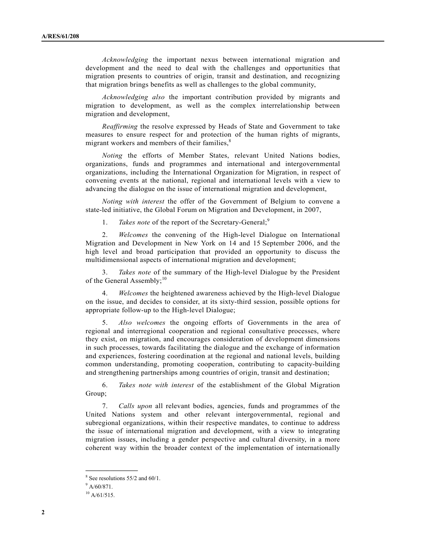*Acknowledging* the important nexus between international migration and development and the need to deal with the challenges and opportunities that migration presents to countries of origin, transit and destination, and recognizing that migration brings benefits as well as challenges to the global community,

*Acknowledging also* the important contribution provided by migrants and migration to development, as well as the complex interrelationship between migration and development,

*Reaffirming* the resolve expressed by Heads of State and Government to take measures to ensure respect for and protection of the human rights of migrants, migrant workers and members of their families,<sup>8</sup>

*Noting* the efforts of Member States, relevant United Nations bodies, organizations, funds and programmes and international and intergovernmental organizations, including the International Organization for Migration, in respect of convening events at the national, regional and international levels with a view to advancing the dialogue on the issue of international migration and development,

*Noting with interest* the offer of the Government of Belgium to convene a state-led initiative, the Global Forum on Migration and Development, in 2007,

1. *Takes note* of the report of the Secretary-General;<sup>9</sup>

 2. *Welcomes* the convening of the High-level Dialogue on International Migration and Development in New York on 14 and 15 September 2006, and the high level and broad participation that provided an opportunity to discuss the multidimensional aspects of international migration and development;

 3. *Takes note* of the summary of the High-level Dialogue by the President of the General Assembly; $10<sup>10</sup>$ 

 4. *Welcomes* the heightened awareness achieved by the High-level Dialogue on the issue, and decides to consider, at its sixty-third session, possible options for appropriate follow-up to the High-level Dialogue;

 5. *Also welcomes* the ongoing efforts of Governments in the area of regional and interregional cooperation and regional consultative processes, where they exist, on migration, and encourages consideration of development dimensions in such processes, towards facilitating the dialogue and the exchange of information and experiences, fostering coordination at the regional and national levels, building common understanding, promoting cooperation, contributing to capacity-building and strengthening partnerships among countries of origin, transit and destination;

 6. *Takes note with interest* of the establishment of the Global Migration Group;

 7. *Calls upon* all relevant bodies, agencies, funds and programmes of the United Nations system and other relevant intergovernmental, regional and subregional organizations, within their respective mandates, to continue to address the issue of international migration and development, with a view to integrating migration issues, including a gender perspective and cultural diversity, in a more coherent way within the broader context of the implementation of internationally

**\_\_\_\_\_\_\_\_\_\_\_\_\_\_\_** 

<sup>&</sup>lt;sup>8</sup> See resolutions 55/2 and 60/1.

 $9$  A/60/871.

 $10$  A/61/515.